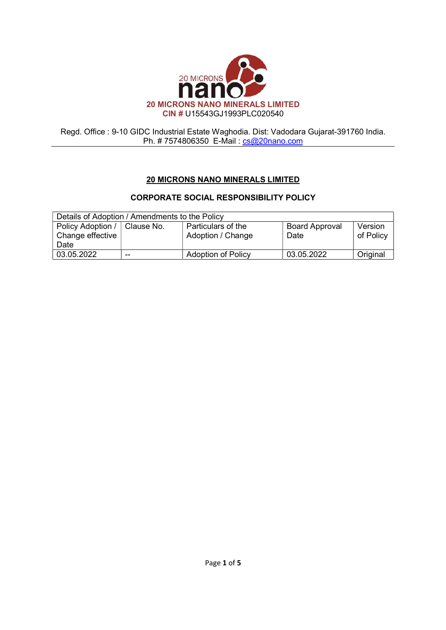

# 20 MICRONS NANO MINERALS LIMITED

# CORPORATE SOCIAL RESPONSIBILITY POLICY

| Details of Adoption / Amendments to the Policy |            |                                         |                               |                      |
|------------------------------------------------|------------|-----------------------------------------|-------------------------------|----------------------|
| Policy Adoption /<br>Change effective<br>Date  | Clause No. | Particulars of the<br>Adoption / Change | <b>Board Approval</b><br>Date | Version<br>of Policy |
| 03.05.2022                                     | --         | <b>Adoption of Policy</b>               | 03.05.2022                    | Original             |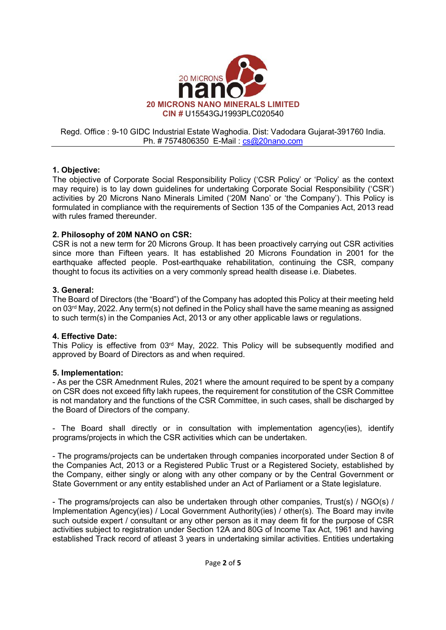

# 1. Objective:

The objective of Corporate Social Responsibility Policy ('CSR Policy' or 'Policy' as the context may require) is to lay down guidelines for undertaking Corporate Social Responsibility ('CSR') activities by 20 Microns Nano Minerals Limited ('20M Nano' or 'the Company'). This Policy is formulated in compliance with the requirements of Section 135 of the Companies Act, 2013 read with rules framed thereunder.

# 2. Philosophy of 20M NANO on CSR:

CSR is not a new term for 20 Microns Group. It has been proactively carrying out CSR activities since more than Fifteen years. It has established 20 Microns Foundation in 2001 for the earthquake affected people. Post-earthquake rehabilitation, continuing the CSR, company thought to focus its activities on a very commonly spread health disease i.e. Diabetes.

# 3. General:

The Board of Directors (the "Board") of the Company has adopted this Policy at their meeting held on 03rd May, 2022. Any term(s) not defined in the Policy shall have the same meaning as assigned to such term(s) in the Companies Act, 2013 or any other applicable laws or regulations.

# 4. Effective Date:

This Policy is effective from 03rd May, 2022. This Policy will be subsequently modified and approved by Board of Directors as and when required.

# 5. Implementation:

- As per the CSR Amednment Rules, 2021 where the amount required to be spent by a company on CSR does not exceed fifty lakh rupees, the requirement for constitution of the CSR Committee is not mandatory and the functions of the CSR Committee, in such cases, shall be discharged by the Board of Directors of the company.

- The Board shall directly or in consultation with implementation agency(ies), identify programs/projects in which the CSR activities which can be undertaken.

- The programs/projects can be undertaken through companies incorporated under Section 8 of the Companies Act, 2013 or a Registered Public Trust or a Registered Society, established by the Company, either singly or along with any other company or by the Central Government or State Government or any entity established under an Act of Parliament or a State legislature.

- The programs/projects can also be undertaken through other companies, Trust(s) / NGO(s) / Implementation Agency(ies) / Local Government Authority(ies) / other(s). The Board may invite such outside expert / consultant or any other person as it may deem fit for the purpose of CSR activities subject to registration under Section 12A and 80G of Income Tax Act, 1961 and having established Track record of atleast 3 years in undertaking similar activities. Entities undertaking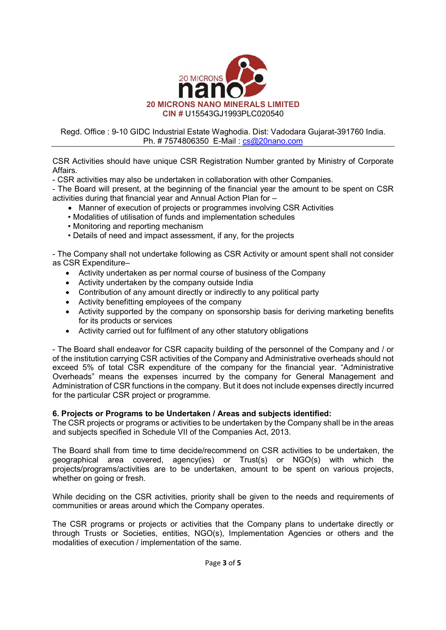

CSR Activities should have unique CSR Registration Number granted by Ministry of Corporate Affairs.

- CSR activities may also be undertaken in collaboration with other Companies.

- The Board will present, at the beginning of the financial year the amount to be spent on CSR activities during that financial year and Annual Action Plan for –

- Manner of execution of projects or programmes involving CSR Activities
- Modalities of utilisation of funds and implementation schedules
- Monitoring and reporting mechanism
- Details of need and impact assessment, if any, for the projects

- The Company shall not undertake following as CSR Activity or amount spent shall not consider as CSR Expenditure–

- Activity undertaken as per normal course of business of the Company
- Activity undertaken by the company outside India
- Contribution of any amount directly or indirectly to any political party
- Activity benefitting employees of the company
- Activity supported by the company on sponsorship basis for deriving marketing benefits for its products or services
- Activity carried out for fulfilment of any other statutory obligations

- The Board shall endeavor for CSR capacity building of the personnel of the Company and / or of the institution carrying CSR activities of the Company and Administrative overheads should not exceed 5% of total CSR expenditure of the company for the financial year. "Administrative Overheads" means the expenses incurred by the company for General Management and Administration of CSR functions in the company. But it does not include expenses directly incurred for the particular CSR project or programme.

#### 6. Projects or Programs to be Undertaken / Areas and subjects identified:

The CSR projects or programs or activities to be undertaken by the Company shall be in the areas and subjects specified in Schedule VII of the Companies Act, 2013.

The Board shall from time to time decide/recommend on CSR activities to be undertaken, the geographical area covered, agency(ies) or Trust(s) or NGO(s) with which the projects/programs/activities are to be undertaken, amount to be spent on various projects, whether on going or fresh.

While deciding on the CSR activities, priority shall be given to the needs and requirements of communities or areas around which the Company operates.

The CSR programs or projects or activities that the Company plans to undertake directly or through Trusts or Societies, entities, NGO(s), Implementation Agencies or others and the modalities of execution / implementation of the same.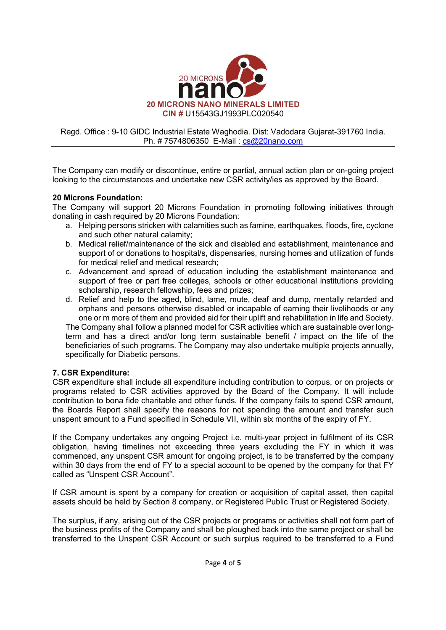

The Company can modify or discontinue, entire or partial, annual action plan or on-going project looking to the circumstances and undertake new CSR activity/ies as approved by the Board.

#### 20 Microns Foundation:

The Company will support 20 Microns Foundation in promoting following initiatives through donating in cash required by 20 Microns Foundation:

- a. Helping persons stricken with calamities such as famine, earthquakes, floods, fire, cyclone and such other natural calamity;
- b. Medical relief/maintenance of the sick and disabled and establishment, maintenance and support of or donations to hospital/s, dispensaries, nursing homes and utilization of funds for medical relief and medical research;
- c. Advancement and spread of education including the establishment maintenance and support of free or part free colleges, schools or other educational institutions providing scholarship, research fellowship, fees and prizes;
- d. Relief and help to the aged, blind, lame, mute, deaf and dump, mentally retarded and orphans and persons otherwise disabled or incapable of earning their livelihoods or any one or m more of them and provided aid for their uplift and rehabilitation in life and Society.

The Company shall follow a planned model for CSR activities which are sustainable over longterm and has a direct and/or long term sustainable benefit / impact on the life of the beneficiaries of such programs. The Company may also undertake multiple projects annually, specifically for Diabetic persons.

# 7. CSR Expenditure:

CSR expenditure shall include all expenditure including contribution to corpus, or on projects or programs related to CSR activities approved by the Board of the Company. It will include contribution to bona fide charitable and other funds. If the company fails to spend CSR amount, the Boards Report shall specify the reasons for not spending the amount and transfer such unspent amount to a Fund specified in Schedule VII, within six months of the expiry of FY.

If the Company undertakes any ongoing Project i.e. multi-year project in fulfilment of its CSR obligation, having timelines not exceeding three years excluding the FY in which it was commenced, any unspent CSR amount for ongoing project, is to be transferred by the company within 30 days from the end of FY to a special account to be opened by the company for that FY called as "Unspent CSR Account".

If CSR amount is spent by a company for creation or acquisition of capital asset, then capital assets should be held by Section 8 company, or Registered Public Trust or Registered Society.

The surplus, if any, arising out of the CSR projects or programs or activities shall not form part of the business profits of the Company and shall be ploughed back into the same project or shall be transferred to the Unspent CSR Account or such surplus required to be transferred to a Fund